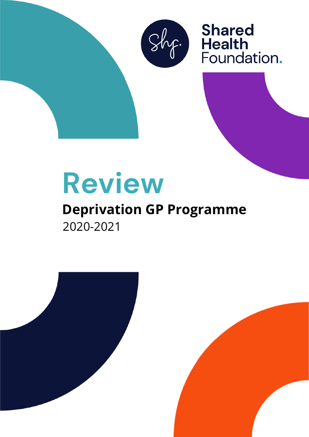

Shared<br>
Health<br>
Foundation.

# **Review**

## **Deprivation GP Programme** 2020-2021

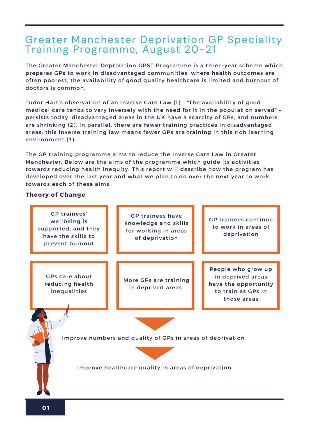### Greater Manchester Deprivation GP Speciality Training Programme, August 20-21

The Greater Manchester Deprivation GPST Programme is a three-year scheme which prepares GPs to work in disadvantaged communities, where health outcomes are often poorest, the availability of good quality healthcare is limited and burnout of doctors is common.

Tudor Hart's observation of an Inverse Care Law (1) – "The availability of good medical care tends to vary inversely with the need for it in the population served" – persists today; disadvantaged areas in the UK have a scarcity of GPs, and numbers are shrinking (2). In parallel, there are fewer training practices in disadvantaged areas; this inverse training law means fewer GPs are training in this rich learning environment (3).

The GP training programme aims to reduce the Inverse Care Law in Greater Manchester. Below are the aims of the programme which guide its activities towards reducing health inequity. This report will describe how the program has developed over the last year and what we plan to do over the next year to work towards each of these aims.

#### **Theory of Change**

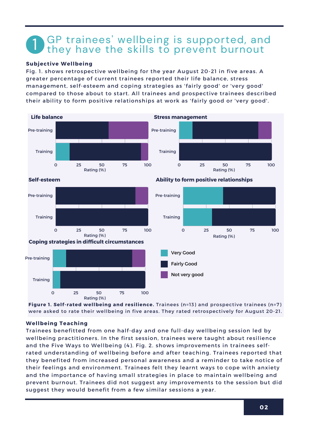## GP trainees' wellbeing is supported, and they have the skills to prevent burnout 1

#### **Subjective Wellbeing**

Fig. 1. shows retrospective wellbeing for the year August 20-21 in five areas. A greater percentage of current trainees reported their life balance, stress management, self-esteem and coping strategies as 'fairly good' or 'very good' compared to those about to start. All trainees and prospective trainees described their ability to form positive relationships at work as 'fairly good or 'very good'.



**Figure 1. Self-rated wellbeing and resilience.** Trainees (n=13) and prospective trainees (n=7) were asked to rate their wellbeing in five areas. They rated retrospectively for August 20-21.

#### **Wellbeing Teaching**

Trainees benefitted from one half-day and one full-day wellbeing session led by wellbeing practitioners. In the first session, trainees were taught about resilience and the Five Ways to Wellbeing (4). Fig. 2. shows improvements in trainees selfrated understanding of wellbeing before and after teaching. Trainees reported that they benefited from increased personal awareness and a reminder to take notice of their feelings and environment. Trainees felt they learnt ways to cope with anxiety and the importance of having small strategies in place to maintain wellbeing and prevent burnout. Trainees did not suggest any improvements to the session but did suggest they would benefit from a few similar sessions a year.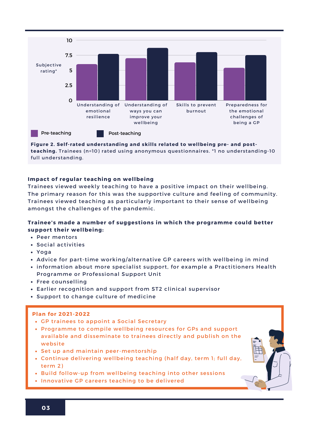

**Figure 2. Self-rated understanding and skills related to wellbeing pre- and postteaching.** Trainees (n=10) rated using anonymous questionnaires. \*1 no understanding-10 full understanding.

#### **Impact of regular teaching on wellbeing**

Trainees viewed weekly teaching to have a positive impact on their wellbeing. The primary reason for this was the supportive culture and feeling of community. Trainees viewed teaching as particularly important to their sense of wellbeing amongst the challenges of the pandemic.

#### **Trainee's made a number of suggestions in which the programme could better support their wellbeing:**

- Peer mentors
- Social activities
- Yoga
- Advice for part-time working/alternative GP careers with wellbeing in mind
- information about more specialist support, for example a Practitioners Health Programme or Professional Support Unit
- Free counselling
- Earlier recognition and support from ST2 clinical supervisor
- Support to change culture of medicine

- GP trainees to appoint a Social Secretary
- Programme to compile wellbeing resources for GPs and support available and disseminate to trainees directly and publish on the website
- Set up and maintain peer-mentorship
- Continue delivering wellbeing teaching (half day, term 1; full day, term 2)
- Build follow-up from wellbeing teaching into other sessions
- Innovative GP careers teaching to be delivered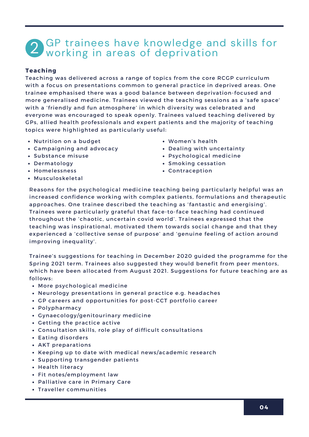## **2** GP trainees have knowledge and skills for working in areas of deprivation

#### **Teaching**

Teaching was delivered across a range of topics from the core RCGP curriculum with a focus on presentations common to general practice in deprived areas. One trainee emphasised there was a good balance between deprivation-focused and more generalised medicine. Trainees viewed the teaching sessions as a 'safe space' with a 'friendly and fun atmosphere' in which diversity was celebrated and everyone was encouraged to speak openly. Trainees valued teaching delivered by GPs, allied health professionals and expert patients and the majority of teaching topics were highlighted as particularly useful:

- Nutrition on a budget
- Campaigning and advocacy
- Substance misuse
- Dermatology
- Homelessness
- Musculoskeletal
- Women's health
- Dealing with uncertainty
- Psychological medicine
- Smoking cessation
- Contraception

Reasons for the psychological medicine teaching being particularly helpful was an increased confidence working with complex patients, formulations and therapeutic approaches. One trainee described the teaching as 'fantastic and energising'. Trainees were particularly grateful that face-to-face teaching had continued throughout the 'chaotic, uncertain covid world'. Trainees expressed that the teaching was inspirational, motivated them towards social change and that they experienced a 'collective sense of purpose' and 'genuine feeling of action around improving inequality'.

Trainee's suggestions for teaching in December 2020 guided the programme for the Spring 2021 term. Trainees also suggested they would benefit from peer mentors, which have been allocated from August 2021. Suggestions for future teaching are as follows:

- More psychological medicine
- Neurology presentations in general practice e.g. headaches
- GP careers and opportunities for post-CCT portfolio career
- Polypharmacy
- Gynaecology/genitourinary medicine
- Getting the practice active
- Consultation skills, role play of difficult consultations
- Eating disorders
- AKT preparations
- Keeping up to date with medical news/academic research
- Supporting transgender patients
- Health literacy
- Fit notes/employment law
- Palliative care in Primary Care
- Traveller communities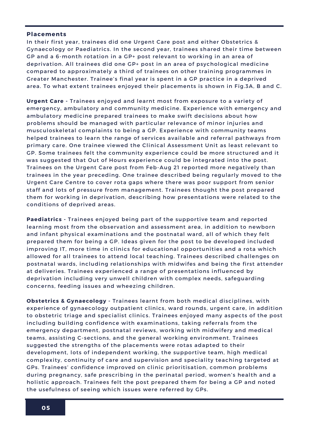#### **Placements**

n their first year, traine<br>iynaecology or Paediat<br>iP and a 6-month rotat In their first year, trainees did one Urgent Care post and either Obstetrics & Gynaecology or Paediatrics. In the second year, trainees shared their time between GP and a 6-month rotation in a GP+ post relevant to working in an area of deprivation. All trainees did one GP+ post in an area of psychological medicine compared to approximately a third of trainees on other training programmes in Greater Manchester. Trainee's final year is spent in a GP practice in a deprived area. To what extent trainees enjoyed their placements is shown in Fig.3A, B and C.

**Urgent Care -** Trainees enjoyed and learnt most from exposure to a variety of emergency, ambulatory and community medicine. Experience with emergency and ambulatory medicine prepared trainees to make swift decisions about how problems should be managed with particular relevance of minor injuries and musculoskeletal complaints to being a GP. Experience with community teams helped trainees to learn the range of services available and referral pathways from primary care. One trainee viewed the Clinical Assessment Unit as least relevant to GP. Some trainees felt the community experience could be more structured and it was suggested that Out of Hours experience could be integrated into the post. Trainees on the Urgent Care post from Feb-Aug 21 reported more negatively than trainees in the year preceding. One trainee described being regularly moved to the Urgent Care Centre to cover rota gaps where there was poor support from senior staff and lots of pressure from management. Trainees thought the post prepared them for working in deprivation, describing how presentations were related to the conditions of deprived areas.

**Paediatrics -** Trainees enjoyed being part of the supportive team and reported learning most from the observation and assessment area, in addition to newborn and infant physical examinations and the postnatal ward, all of which they felt prepared them for being a GP. Ideas given for the post to be developed included improving IT, more time in clinics for educational opportunities and a rota which allowed for all trainees to attend local teaching. Trainees described challenges on postnatal wards, including relationships with midwifes and being the first attender at deliveries. Trainees experienced a range of presentations influenced by deprivation including very unwell children with complex needs, safeguarding concerns, feeding issues and wheezing children.

**Obstetrics & Gynaecology -** Trainees learnt from both medical disciplines, with experience of gynaecology outpatient clinics, ward rounds, urgent care, in addition to obstetric triage and specialist clinics. Trainees enjoyed many aspects of the post including building confidence with examinations, taking referrals from the emergency department, postnatal reviews, working with midwifery and medical teams, assisting C-sections, and the general working environment. Trainees suggested the strengths of the placements were rotas adapted to their development, lots of independent working, the supportive team, high medical complexity, continuity of care and supervision and speciality teaching targeted at GPs. Trainees' confidence improved on clinic prioritisation, common problems during pregnancy, safe prescribing in the perinatal period, women's health and a holistic approach. Trainees felt the post prepared them for being a GP and noted the usefulness of seeing which issues were referred by GPs.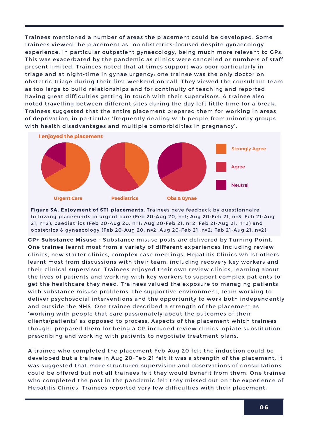trainees viewed the placement as too obstetrics-focused despite gynaecology<br>experience, in particular outpatient gynaecology, being much more relevant t Trainees mentioned a number of areas the placement could be developed. Some experience, in particular outpatient gynaecology, being much more relevant to GPs. This was exacerbated by the pandemic as clinics were cancelled or numbers of staff present limited. Trainees noted that at times support was poor particularly in triage and at night-time in gynae urgency; one trainee was the only doctor on obstetric triage during their first weekend on call. They viewed the consultant team as too large to build relationships and for continuity of teaching and reported having great difficulties getting in touch with their supervisors. A trainee also noted travelling between different sites during the day left little time for a break. Trainees suggested that the entire placement prepared them for working in areas of deprivation, in particular 'frequently dealing with people from minority groups with health disadvantages and multiple comorbidities in pregnancy'.



**Figure 3A. Enjoyment of ST1 placements.** Trainees gave feedback by questionnaire following placements in urgent care (Feb 20-Aug 20, n=1; Aug 20-Feb 21, n=3; Feb 21-Aug 21, n=2), paediatrics (Feb 20-Aug 20, n=1; Aug 20-Feb 21, n=2; Feb 21-Aug 21, n=2) and obstetrics & gynaecology (Feb 20-Aug 20, n=2; Aug 20-Feb 21, n=2; Feb 21-Aug 21, n=2).

**GP+ Substance Misuse -** Substance misuse posts are delivered by Turning Point. One trainee learnt most from a variety of different experiences including review clinics, new starter clinics, complex case meetings, Hepatitis Clinics whilst others learnt most from discussions with their team, including recovery key workers and their clinical supervisor. Trainees enjoyed their own review clinics, learning about the lives of patients and working with key workers to support complex patients to get the healthcare they need. Trainees valued the exposure to managing patients with substance misuse problems, the supportive environment, team working to deliver psychosocial interventions and the opportunity to work both independently and outside the NHS. One trainee described a strength of the placement as 'working with people that care passionately about the outcomes of their clients/patients' as opposed to process. Aspects of the placement which trainees thought prepared them for being a GP included review clinics, opiate substitution prescribing and working with patients to negotiate treatment plans.

A trainee who completed the placement Feb-Aug 20 felt the induction could be developed but a trainee in Aug 20-Feb 21 felt it was a strength of the placement. It was suggested that more structured supervision and observations of consultations could be offered but not all trainees felt they would benefit from them. One trainee who completed the post in the pandemic felt they missed out on the experience of Hepatitis Clinics. Trainees reported very few difficulties with their placement,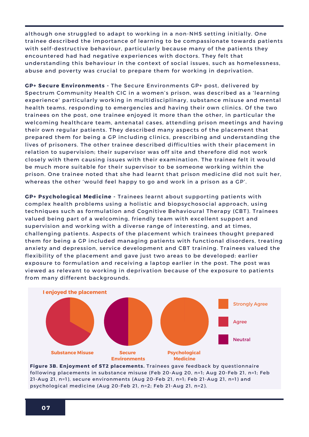amee described the m<br>ith self-destructive bel<br>ncountered had had ne although one struggled to adapt to working in a non-NHS setting initially. One trainee described the importance of learning to be compassionate towards patients with self-destructive behaviour, particularly because many of the patients they encountered had had negative experiences with doctors. They felt that understanding this behaviour in the context of social issues, such as homelessness, abuse and poverty was crucial to prepare them for working in deprivation.

**GP+ Secure Environments -** The Secure Environments GP+ post, delivered by Spectrum Community Health CIC in a women's prison, was described as a 'learning experience' particularly working in multidisciplinary, substance misuse and mental health teams, responding to emergencies and having their own clinics. Of the two trainees on the post, one trainee enjoyed it more than the other, in particular the welcoming healthcare team, antenatal cases, attending prison meetings and having their own regular patients. They described many aspects of the placement that prepared them for being a GP including clinics, prescribing and understanding the lives of prisoners. The other trainee described difficulties with their placement in relation to supervision; their supervisor was off site and therefore did not work closely with them causing issues with their examination. The trainee felt it would be much more suitable for their supervisor to be someone working within the prison. One trainee noted that she had learnt that prison medicine did not suit her, whereas the other 'would feel happy to go and work in a prison as a GP'.

**GP+ Psychological Medicine -** Trainees learnt about supporting patients with complex health problems using a holistic and biopsychosocial approach, using techniques such as formulation and Cognitive Behavioural Therapy (CBT). Trainees valued being part of a welcoming, friendly team with excellent support and supervision and working with a diverse range of interesting, and at times, challenging patients. Aspects of the placement which trainees thought prepared them for being a GP included managing patients with functional disorders, treating anxiety and depression, service development and CBT training. Trainees valued the flexibility of the placement and gave just two areas to be developed: earlier exposure to formulation and receiving a laptop earlier in the post. The post was viewed as relevant to working in deprivation because of the exposure to patients from many different backgrounds.



**Figure 3B. Enjoyment of ST2 placements.** Trainees gave feedback by questionnaire following placements in substance misuse (Feb 20-Aug 20, n=1; Aug 20-Feb 21, n=1; Feb 21-Aug 21, n=1), secure environments (Aug 20-Feb 21, n=1; Feb 21-Aug 21, n=1) and psychological medicine (Aug 20-Feb 21, n=2; Feb 21-Aug 21, n=2).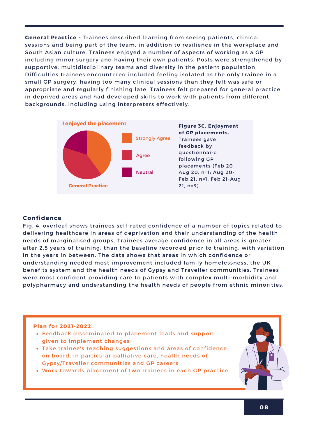**General Practice -** Trainees described learning from seeing patients, clinical sessions and being part of the team, in addition to resilience in the workplace and South Asian culture. Trainees enjoyed a number of aspects of working as a GP including minor surgery and having their own patients. Posts were strengthened by supportive, multidisciplinary teams and diversity in the patient population. Difficulties trainees encountered included feeling isolated as the only trainee in a small GP surgery, having too many clinical sessions than they felt was safe or appropriate and regularly finishing late. Trainees felt prepared for general practice in deprived areas and had developed skills to work with patients from different backgrounds, including using interpreters effectively.



#### **Confidence**

Fig. 4. overleaf shows trainees self-rated confidence of a number of topics related to delivering healthcare in areas of deprivation and their understanding of the health needs of marginalised groups. Trainees average confidence in all areas is greater after 2.5 years of training, than the baseline recorded prior to training, with variation in the years in between. The data shows that areas in which confidence or understanding needed most improvement included family homelessness, the UK benefits system and the health needs of Gypsy and Traveller communities. Trainees were most confident providing care to patients with complex multi-morbidity and polypharmacy and understanding the health needs of people from ethnic minorities.

- Feedback disseminated to placement leads and support given to implement changes
- Take trainee's teaching suggestions and areas of confidence on board, in particular palliative care, health needs of Gypsy/Traveller communities and GP careers
- Work towards placement of two trainees in each GP practice

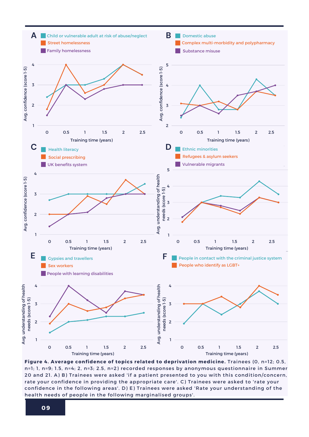

. Average confidence of topics relate  $\,$ ation medicine. Trainees (0, n=12; 0.5,  $\,$ 0 **Figure 4. Average confidence of topics related to deprivation medicine.** Trainees (0, n=12; 0.5, n=1; 1, n=9; 1.5, n=4; 2, n=3; 2.5, n=2) recorded responses by anonymous questionnaire in Summer 20 and 21. A) B) Trainees were asked 'if a patient presented to you with this condition/concern, rate your confidence in providing the appropriate care'. C) Trainees were asked to 'rate your confidence in the following areas'. D) E) Trainees were asked 'Rate your understanding of the health needs of people in the following marginalised groups'.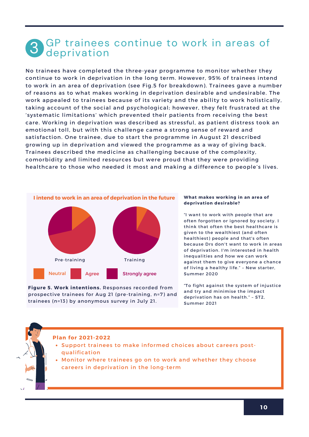## **3** GP trainees continue to work in areas of deprivation

No trainees have completed the three-year programme to monitor whether they continue to work in deprivation in the long term. However, 95% of trainees intend to work in an area of deprivation (see Fig.5 for breakdown). Trainees gave a number of reasons as to what makes working in deprivation desirable and undesirable. The work appealed to trainees because of its variety and the ability to work holistically, taking account of the social and psychological; however, they felt frustrated at the 'systematic limitations' which prevented their patients from receiving the best care. Working in deprivation was described as stressful, as patient distress took an emotional toll, but with this challenge came a strong sense of reward and satisfaction. One trainee, due to start the programme in August 21 described growing up in deprivation and viewed the programme as a way of giving back. Trainees described the medicine as challenging because of the complexity, comorbidity and limited resources but were proud that they were providing healthcare to those who needed it most and making a difference to people's lives.



**Figure 5. Work intentions.** Responses recorded from prospective trainees for Aug 21 (pre-training, n=7) and trainees (n=13) by anonymous survey in July 21.

#### **What makes working in an area of deprivation desirable?**

"I want to work with people that are often forgotten or ignored by society. I think that often the best healthcare is given to the wealthiest (and often healthiest) people and that's often because Drs don't want to work in areas of deprivation. I'm interested in health inequalities and how we can work against them to give everyone a chance of living a healthy life." – New starter, Summer 2020

"To fight against the system of injustice and try and minimise the impact deprivation has on health." – ST2, Summer 2021

- Support trainees to make informed choices about careers postqualification
- Monitor where trainees go on to work and whether they choose careers in deprivation in the long-term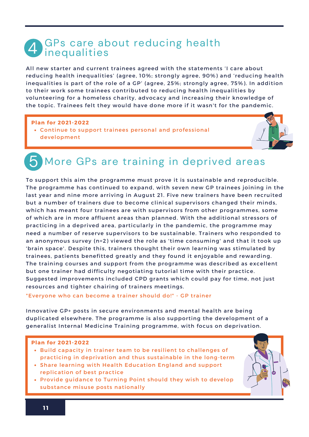## GPs care about reducing health<br>inequalities

All new starter and current trainees agreed with the statements 'I care about reducing health inequalities' (agree, 10%; strongly agree, 90%) and 'reducing health inequalities is part of the role of a GP' (agree, 25%; strongly agree, 75%). In addition to their work some trainees contributed to reducing health inequalities by volunteering for a homeless charity, advocacy and increasing their knowledge of the topic. Trainees felt they would have done more if it wasn't for the pandemic.

#### **Plan for 2021-2022**

Continue to support trainees personal and professional development



## **5** More GPs are training in deprived areas

To support this aim the programme must prove it is sustainable and reproducible. The programme has continued to expand, with seven new GP trainees joining in the last year and nine more arriving in August 21. Five new trainers have been recruited but a number of trainers due to become clinical supervisors changed their minds, which has meant four trainees are with supervisors from other programmes, some of which are in more affluent areas than planned. With the additional stressors of practicing in a deprived area, particularly in the pandemic, the programme may need a number of reserve supervisors to be sustainable. Trainers who responded to an anonymous survey (n=2) viewed the role as 'time consuming' and that it took up 'brain space'. Despite this, trainers thought their own learning was stimulated by trainees, patients benefitted greatly and they found it enjoyable and rewarding. The training courses and support from the programme was described as excellent but one trainer had difficulty negotiating tutorial time with their practice. Suggested improvements included CPD grants which could pay for time, not just resources and tighter chairing of trainers meetings.

#### "Everyone who can become a trainer should do!" - GP trainer

Innovative GP+ posts in secure environments and mental health are being duplicated elsewhere. The programme is also supporting the development of a generalist Internal Medicine Training programme, with focus on deprivation.

- **Build capacity in trainer team to be resilient to challenges of** practicing in deprivation and thus sustainable in the long-term
- Share learning with Health Education England and support replication of best practice
- Provide guidance to Turning Point should they wish to develop substance misuse posts nationally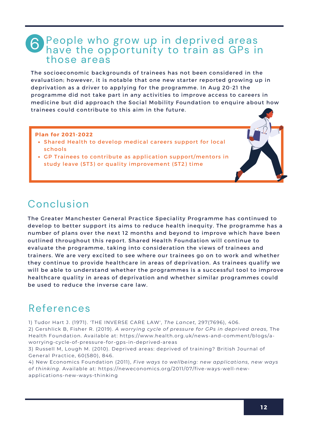### People who grow up in deprived areas **6** People who grow up in deprived areas<br>**6** have the opportunity to train as GPs in those areas

The socioeconomic backgrounds of trainees has not been considered in the evaluation; however, it is notable that one new starter reported growing up in deprivation as a driver to applying for the programme. In Aug 20-21 the programme did not take part in any activities to improve access to careers in medicine but did approach the Social Mobility Foundation to enquire about how trainees could contribute to this aim in the future.

#### **Plan for 2021-2022**

- Shared Health to develop medical careers support for local schools
- GP Trainees to contribute as application support/mentors in study leave (ST3) or quality improvement (ST2) time

## Conclusion

The Greater Manchester General Practice Speciality Programme has continued to develop to better support its aims to reduce health inequity. The programme has a number of plans over the next 12 months and beyond to improve which have been outlined throughout this report. Shared Health Foundation will continue to evaluate the programme, taking into consideration the views of trainees and trainers. We are very excited to see where our trainees go on to work and whether they continue to provide healthcare in areas of deprivation. As trainees qualify we will be able to understand whether the programmes is a successful tool to improve healthcare quality in areas of deprivation and whether similar programmes could be used to reduce the inverse care law.

## References

1) Tudor Hart J. (1971). 'THE INVERSE CARE LAW', *The Lancet,* 297(7696), 406.

2) Gershlick B, Fisher R. (2019). *A worrying cycle of pressure for GPs in deprived areas,* The Health Foundation. Available at: https://www.health.org.uk/news-and-comment/blogs/aworrying-cycle-of-pressure-for-gps-in-deprived-areas

3) Russell M, Lough M. (2010). Deprived areas: deprived of training? British Journal of General Practice, 60(580), 846.

4) New Economics Foundation (2011), *Five ways to wellbeing: new applications, new ways of thinking.* Available at: https://neweconomics.org/2011/07/five-ways-well-newapplications-new-ways-thinking